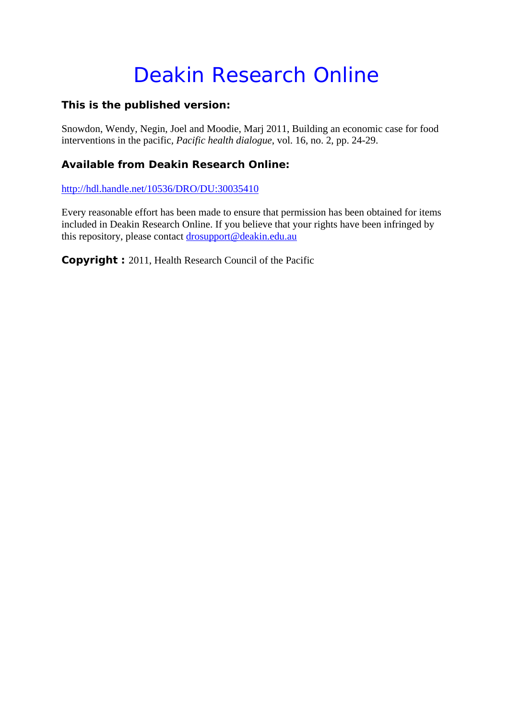# Deakin Research Online

## **This is the published version:**

Snowdon, Wendy, Negin, Joel and Moodie, Marj 2011, Building an economic case for food interventions in the pacific*, Pacific health dialogue*, vol. 16, no. 2, pp. 24-29.

# **Available from Deakin Research Online:**

http://hdl.handle.net/10536/DRO/DU:30035410

Every reasonable effort has been made to ensure that permission has been obtained for items included in Deakin Research Online. If you believe that your rights have been infringed by this repository, please contact drosupport@deakin.edu.au

**Copyright :** 2011, Health Research Council of the Pacific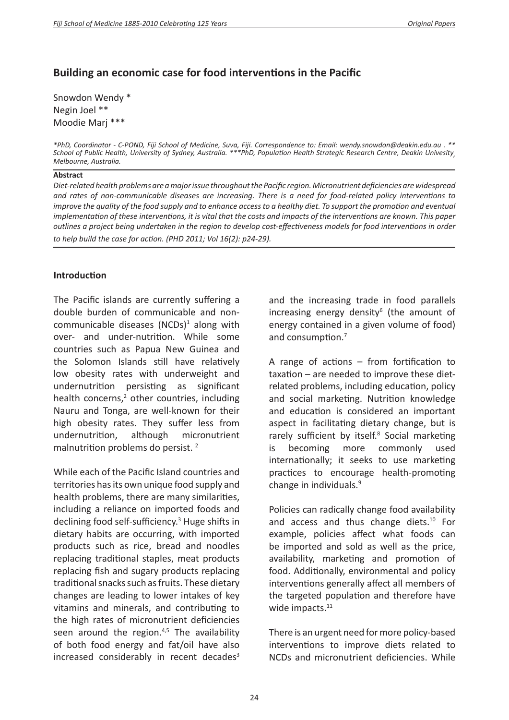# **Building an economic case for food interventions in the Pacific**

Snowdon Wendy \* Negin Joel \*\* Moodie Marj \*\*\*

#### **Abstract**

*Diet-related health problems are a major issue throughout the Pacific region. Micronutrient deficiencies are widespread and rates of non-communicable diseases are increasing. There is a need for food-related policy interventions to improve the quality of the food supply and to enhance access to a healthy diet. To support the promotion and eventual implementation of these interventions, it is vital that the costs and impacts of the interventions are known. This paper outlines a project being undertaken in the region to develop cost-effectiveness models for food interventions in order to help build the case for action. (PHD 2011; Vol 16(2): p24-29).*

#### **Introduction**

The Pacific islands are currently suffering a double burden of communicable and noncommunicable diseases (NCDs)<sup>1</sup> along with over- and under-nutrition. While some countries such as Papua New Guinea and the Solomon Islands still have relatively low obesity rates with underweight and undernutrition persisting as significant health concerns,<sup>2</sup> other countries, including Nauru and Tonga, are well-known for their high obesity rates. They suffer less from undernutrition, although micronutrient malnutrition problems do persist. <sup>2</sup>

While each of the Pacific Island countries and territories has its own unique food supply and health problems, there are many similarities, including a reliance on imported foods and declining food self-sufficiency.<sup>3</sup> Huge shifts in dietary habits are occurring, with imported products such as rice, bread and noodles replacing traditional staples, meat products replacing fish and sugary products replacing traditional snacks such as fruits. These dietary changes are leading to lower intakes of key vitamins and minerals, and contributing to the high rates of micronutrient deficiencies seen around the region. $4,5$  The availability of both food energy and fat/oil have also increased considerably in recent decades $3$ 

and the increasing trade in food parallels increasing energy density<sup>6</sup> (the amount of energy contained in a given volume of food) and consumption.<sup>7</sup>

A range of actions – from fortification to taxation – are needed to improve these dietrelated problems, including education, policy and social marketing. Nutrition knowledge and education is considered an important aspect in facilitating dietary change, but is rarely sufficient by itself.<sup>8</sup> Social marketing is becoming more commonly used internationally; it seeks to use marketing practices to encourage health-promoting change in individuals.<sup>9</sup>

Policies can radically change food availability and access and thus change diets.<sup>10</sup> For example, policies affect what foods can be imported and sold as well as the price, availability, marketing and promotion of food. Additionally, environmental and policy interventions generally affect all members of the targeted population and therefore have wide impacts.<sup>11</sup>

There is an urgent need for more policy-based interventions to improve diets related to NCDs and micronutrient deficiencies. While

*<sup>\*</sup>PhD, Coordinator - C-POND, Fiji School of Medicine, Suva, Fiji. Correspondence to: Email: wendy.snowdon@deakin.edu.au . \*\**  School of Public Health, University of Sydney, Australia. \*\*\*PhD, Population Health Strategic Research Centre, Deakin Univesity<sub>,</sub><br>Melbourne, Australia.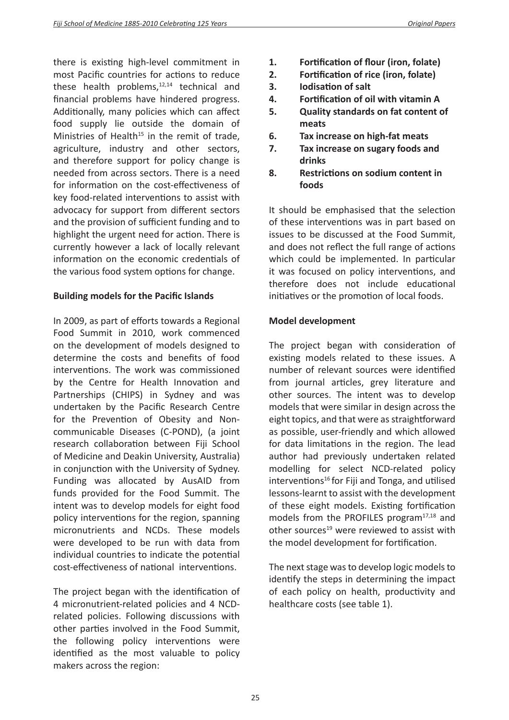there is existing high-level commitment in most Pacific countries for actions to reduce these health problems, $12,14$  technical and financial problems have hindered progress. Additionally, many policies which can affect food supply lie outside the domain of Ministries of Health<sup>15</sup> in the remit of trade, agriculture, industry and other sectors, and therefore support for policy change is needed from across sectors. There is a need for information on the cost-effectiveness of key food-related interventions to assist with advocacy for support from different sectors and the provision of sufficient funding and to highlight the urgent need for action. There is currently however a lack of locally relevant information on the economic credentials of the various food system options for change.

## **Building models for the Pacific Islands**

In 2009, as part of efforts towards a Regional Food Summit in 2010, work commenced on the development of models designed to determine the costs and benefits of food interventions. The work was commissioned by the Centre for Health Innovation and Partnerships (CHIPS) in Sydney and was undertaken by the Pacific Research Centre for the Prevention of Obesity and Noncommunicable Diseases (C-POND), (a joint research collaboration between Fiji School of Medicine and Deakin University, Australia) in conjunction with the University of Sydney. Funding was allocated by AusAID from funds provided for the Food Summit. The intent was to develop models for eight food policy interventions for the region, spanning micronutrients and NCDs. These models were developed to be run with data from individual countries to indicate the potential cost-effectiveness of national interventions.

The project began with the identification of 4 micronutrient-related policies and 4 NCDrelated policies. Following discussions with other parties involved in the Food Summit, the following policy interventions were identified as the most valuable to policy makers across the region:

- **1. Fortification of flour (iron, folate)**
- **2. Fortification of rice (iron, folate)**
- **3. Iodisation of salt**
- **4. Fortification of oil with vitamin A**
- **5. Quality standards on fat content of meats**
- **6. Tax increase on high-fat meats**
- **7. Tax increase on sugary foods and drinks**
- **8. Restrictions on sodium content in foods**

It should be emphasised that the selection of these interventions was in part based on issues to be discussed at the Food Summit, and does not reflect the full range of actions which could be implemented. In particular it was focused on policy interventions, and therefore does not include educational initiatives or the promotion of local foods.

## **Model development**

The project began with consideration of existing models related to these issues. A number of relevant sources were identified from journal articles, grey literature and other sources. The intent was to develop models that were similar in design across the eight topics, and that were as straightforward as possible, user-friendly and which allowed for data limitations in the region. The lead author had previously undertaken related modelling for select NCD-related policy  $interventions<sup>16</sup>$  for Fiji and Tonga, and utilised lessons-learnt to assist with the development of these eight models. Existing fortification models from the PROFILES program<sup>17,18</sup> and other sources<sup>19</sup> were reviewed to assist with the model development for fortification.

The next stage was to develop logic models to identify the steps in determining the impact of each policy on health, productivity and healthcare costs (see table 1).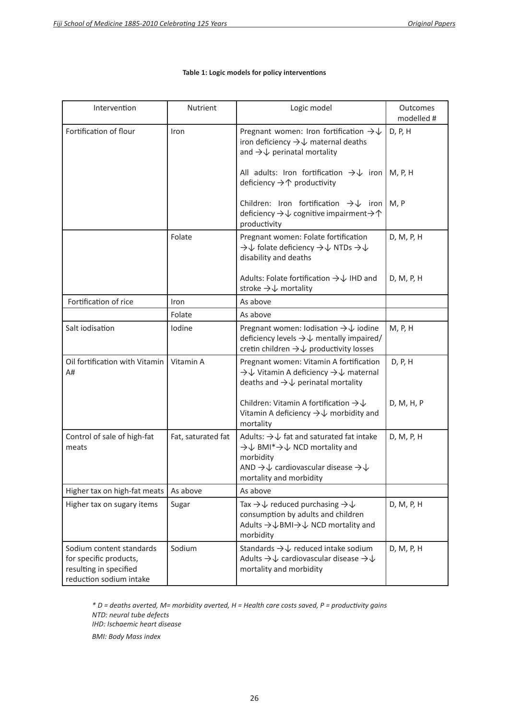| Intervention                                                                                            | Nutrient           | Logic model                                                                                                                                                                                                       | Outcomes<br>modelled # |
|---------------------------------------------------------------------------------------------------------|--------------------|-------------------------------------------------------------------------------------------------------------------------------------------------------------------------------------------------------------------|------------------------|
| Fortification of flour                                                                                  | Iron               | Pregnant women: Iron fortification $\rightarrow\downarrow$<br>iron deficiency $\rightarrow\downarrow$ maternal deaths<br>and $\rightarrow\downarrow$ perinatal mortality                                          | D, P, H                |
|                                                                                                         |                    | All adults: Iron fortification $\rightarrow\downarrow$ iron<br>deficiency $\rightarrow$ $\uparrow$ productivity                                                                                                   | M, P, H                |
|                                                                                                         |                    | Children: Iron fortification $\rightarrow\downarrow$ iron<br>deficiency $\rightarrow\downarrow$ cognitive impairment $\rightarrow\uparrow$<br>productivity                                                        | M, P                   |
|                                                                                                         | Folate             | Pregnant women: Folate fortification<br>$\rightarrow\downarrow$ folate deficiency $\rightarrow\downarrow$ NTDs $\rightarrow\downarrow$<br>disability and deaths                                                   | D, M, P, H             |
|                                                                                                         |                    | Adults: Folate fortification $\rightarrow\downarrow$ IHD and<br>stroke $\rightarrow\downarrow$ mortality                                                                                                          | D, M, P, H             |
| Fortification of rice                                                                                   | Iron               | As above                                                                                                                                                                                                          |                        |
|                                                                                                         | Folate             | As above                                                                                                                                                                                                          |                        |
| Salt iodisation                                                                                         | Iodine             | Pregnant women: Iodisation $\rightarrow\downarrow$ iodine<br>deficiency levels $\rightarrow\downarrow$ mentally impaired/<br>cretin children $\rightarrow\downarrow$ productivity losses                          | M, P, H                |
| Oil fortification with Vitamin<br>A#                                                                    | Vitamin A          | Pregnant women: Vitamin A fortification<br>→↓ Vitamin A deficiency →↓ maternal<br>deaths and $\rightarrow\downarrow$ perinatal mortality                                                                          | D, P, H                |
|                                                                                                         |                    | Children: Vitamin A fortification $\rightarrow \downarrow$<br>Vitamin A deficiency $\rightarrow\downarrow$ morbidity and<br>mortality                                                                             | D, M, H, P             |
| Control of sale of high-fat<br>meats                                                                    | Fat, saturated fat | Adults: $\rightarrow\downarrow$ fat and saturated fat intake<br>→↓ BMI*→↓ NCD mortality and<br>morbidity<br>AND $\rightarrow\downarrow$ cardiovascular disease $\rightarrow\downarrow$<br>mortality and morbidity | D, M, P, H             |
| Higher tax on high-fat meats                                                                            | As above           | As above                                                                                                                                                                                                          |                        |
| Higher tax on sugary items                                                                              | Sugar              | Tax $\rightarrow \downarrow$ reduced purchasing $\rightarrow \downarrow$<br>consumption by adults and children<br>Adults → $\downarrow$ BMI → $\downarrow$ NCD mortality and<br>morbidity                         | D, M, P, H             |
| Sodium content standards<br>for specific products,<br>resulting in specified<br>reduction sodium intake | Sodium             | Standards $\rightarrow\downarrow$ reduced intake sodium<br>Adults $\rightarrow\downarrow$ cardiovascular disease $\rightarrow\downarrow$<br>mortality and morbidity                                               | D, M, P, H             |

#### **Table 1: Logic models for policy interventions**

*\* D = deaths averted, M= morbidity averted, H = Health care costs saved, P = productivity gains NTD: neural tube defects IHD: Ischaemic heart disease BMI: Body Mass index*

26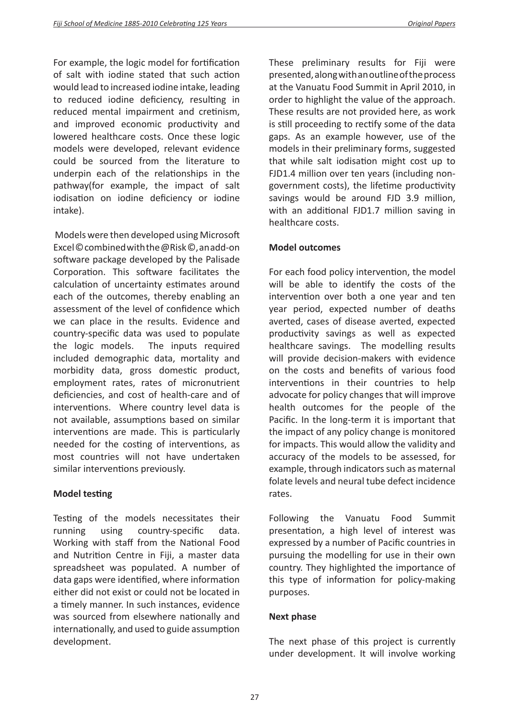For example, the logic model for fortification of salt with iodine stated that such action would lead to increased iodine intake, leading to reduced iodine deficiency, resulting in reduced mental impairment and cretinism, and improved economic productivity and lowered healthcare costs. Once these logic models were developed, relevant evidence could be sourced from the literature to underpin each of the relationships in the pathway(for example, the impact of salt iodisation on iodine deficiency or iodine intake).

 Models were then developed using Microsoft Excel © combined with the @Risk ©, an add-on software package developed by the Palisade Corporation. This software facilitates the calculation of uncertainty estimates around each of the outcomes, thereby enabling an assessment of the level of confidence which we can place in the results. Evidence and country-specific data was used to populate the logic models. The inputs required included demographic data, mortality and morbidity data, gross domestic product, employment rates, rates of micronutrient deficiencies, and cost of health-care and of interventions. Where country level data is not available, assumptions based on similar interventions are made. This is particularly needed for the costing of interventions, as most countries will not have undertaken similar interventions previously.

## **Model testing**

Testing of the models necessitates their running using country-specific data. Working with staff from the National Food and Nutrition Centre in Fiji, a master data spreadsheet was populated. A number of data gaps were identified, where information either did not exist or could not be located in a timely manner. In such instances, evidence was sourced from elsewhere nationally and internationally, and used to guide assumption development.

These preliminary results for Fiji were presented, along with an outline of the process at the Vanuatu Food Summit in April 2010, in order to highlight the value of the approach. These results are not provided here, as work is still proceeding to rectify some of the data gaps. As an example however, use of the models in their preliminary forms, suggested that while salt iodisation might cost up to FJD1.4 million over ten years (including nongovernment costs), the lifetime productivity savings would be around FJD 3.9 million, with an additional FJD1.7 million saving in healthcare costs.

## **Model outcomes**

For each food policy intervention, the model will be able to identify the costs of the intervention over both a one year and ten year period, expected number of deaths averted, cases of disease averted, expected productivity savings as well as expected healthcare savings. The modelling results will provide decision-makers with evidence on the costs and benefits of various food interventions in their countries to help advocate for policy changes that will improve health outcomes for the people of the Pacific. In the long-term it is important that the impact of any policy change is monitored for impacts. This would allow the validity and accuracy of the models to be assessed, for example, through indicators such as maternal folate levels and neural tube defect incidence rates.

Following the Vanuatu Food Summit presentation, a high level of interest was expressed by a number of Pacific countries in pursuing the modelling for use in their own country. They highlighted the importance of this type of information for policy-making purposes.

## **Next phase**

The next phase of this project is currently under development. It will involve working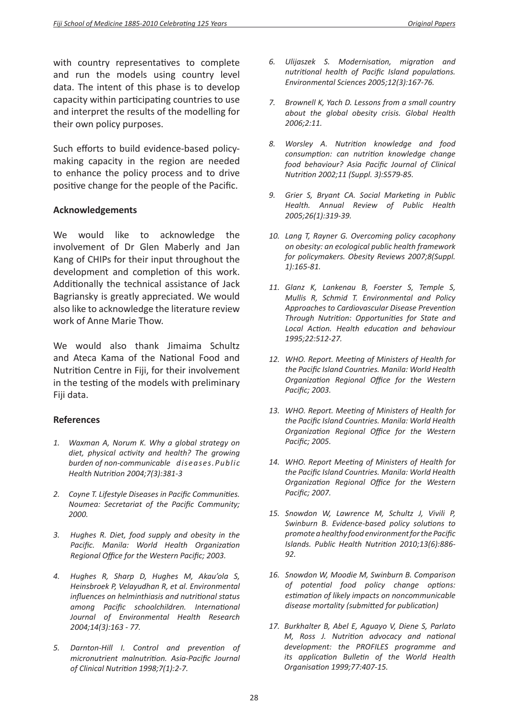with country representatives to complete and run the models using country level data. The intent of this phase is to develop capacity within participating countries to use and interpret the results of the modelling for their own policy purposes.

Such efforts to build evidence-based policymaking capacity in the region are needed to enhance the policy process and to drive positive change for the people of the Pacific.

## **Acknowledgements**

We would like to acknowledge the involvement of Dr Glen Maberly and Jan Kang of CHIPs for their input throughout the development and completion of this work. Additionally the technical assistance of Jack Bagriansky is greatly appreciated. We would also like to acknowledge the literature review work of Anne Marie Thow.

We would also thank Jimaima Schultz and Ateca Kama of the National Food and Nutrition Centre in Fiji, for their involvement in the testing of the models with preliminary Fiji data.

### **References**

- *1. Waxman A, Norum K. Why a global strategy on diet, physical activity and health? The growing burden of non-communicable diseases.Public Health Nutrition 2004;7(3):381-3*
- *2. Coyne T. Lifestyle Diseases in Pacific Communities. Noumea: Secretariat of the Pacific Community; 2000.*
- *3. Hughes R. Diet, food supply and obesity in the Pacific. Manila: World Health Organization Regional Office for the Western Pacific; 2003.*
- *4. Hughes R, Sharp D, Hughes M, Akau'ola S, Heinsbroek P, Velayudhan R, et al. Environmental influences on helminthiasis and nutritional status among Pacific schoolchildren. International Journal of Environmental Health Research 2004;14(3):163 - 77.*
- *5. Darnton-Hill I. Control and prevention of micronutrient malnutrition. Asia-Pacific Journal of Clinical Nutrition 1998;7(1):2-7.*
- *6. Ulijaszek S. Modernisation, migration and nutritional health of Pacific Island populations. Environmental Sciences 2005;12(3):167-76.*
- *7. Brownell K, Yach D. Lessons from a small country about the global obesity crisis. Global Health 2006;2:11.*
- *8. Worsley A. Nutrition knowledge and food consumption: can nutrition knowledge change food behaviour? Asia Pacific Journal of Clinical Nutrition 2002;11 (Suppl. 3):S579-85.*
- *9. Grier S, Bryant CA. Social Marketing in Public Health. Annual Review of Public Health 2005;26(1):319-39.*
- *10. Lang T, Rayner G. Overcoming policy cacophony on obesity: an ecological public health framework for policymakers. Obesity Reviews 2007;8(Suppl. 1):165-81.*
- *11. Glanz K, Lankenau B, Foerster S, Temple S, Mullis R, Schmid T. Environmental and Policy Approaches to Cardiovascular Disease Prevention Through Nutrition: Opportunities for State and Local Action. Health education and behaviour 1995;22:512-27.*
- *12. WHO. Report. Meeting of Ministers of Health for the Pacific Island Countries. Manila: World Health Organization Regional Office for the Western Pacific; 2003.*
- *13. WHO. Report. Meeting of Ministers of Health for the Pacific Island Countries. Manila: World Health Organization Regional Office for the Western Pacific; 2005.*
- *14. WHO. Report Meeting of Ministers of Health for the Pacific Island Countries. Manila: World Health Organization Regional Office for the Western Pacific; 2007.*
- *15. Snowdon W, Lawrence M, Schultz J, Vivili P, Swinburn B. Evidence-based policy solutions to promote a healthy food environment for the Pacific Islands. Public Health Nutrition 2010;13(6):886- 92.*
- *16. Snowdon W, Moodie M, Swinburn B. Comparison of potential food policy change options: estimation of likely impacts on noncommunicable disease mortality (submitted for publication)*
- *17. Burkhalter B, Abel E, Aguayo V, Diene S, Parlato M, Ross J. Nutrition advocacy and national development: the PROFILES programme and its application Bulletin of the World Health Organisation 1999;77:407-15.*